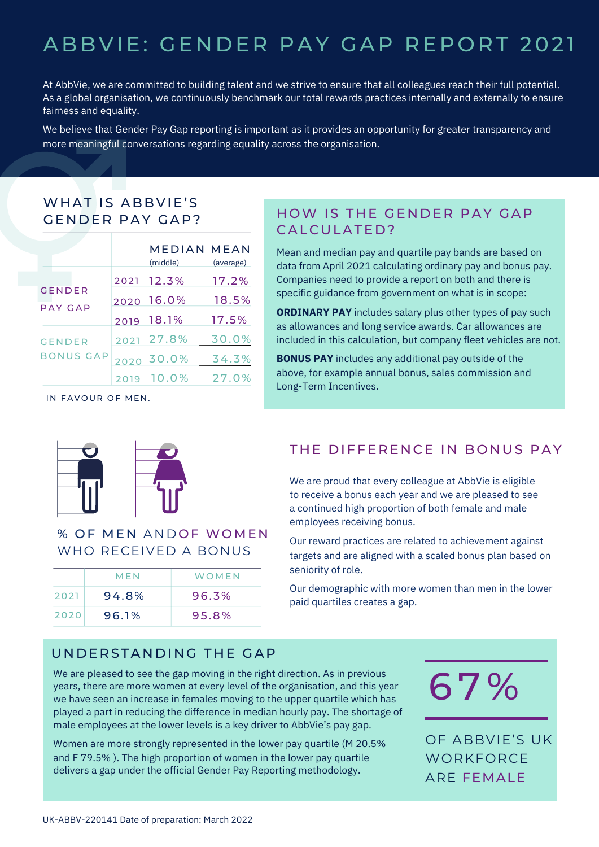# ABBVIE: GENDER PAY GAP REPORT 2021

At AbbVie, we are committed to building talent and we strive to ensure that all colleagues reach their full potential. As a global organisation, we continuously benchmark our total rewards practices internally and externally to ensure fairness and equality.

We believe that Gender Pay Gap reporting is important as it provides an opportunity for greater transparency and more meaningful conversations regarding equality across the organisation.

## WHAT IS ABBVIE'S GENDER PAY GAP?

|                                   |      | (middle) | MEDIAN MEAN<br>(average) |
|-----------------------------------|------|----------|--------------------------|
| <b>GENDER</b><br>PAY GAP          | 2021 | 12.3%    | 17.2%                    |
|                                   | 2020 | 16.0%    | 18.5%                    |
|                                   | 2019 | 18.1%    | 17.5%                    |
| <b>GENDER</b><br><b>BONUS GAP</b> | 2021 | 27.8%    | 30.0%                    |
|                                   | 2020 | 30.0%    | 34.3%                    |
|                                   | 20   | 10.0%    | 27.0%                    |

IN FAVOUR OF MEN.

## HOW IS THE GENDER PAY GAP CALCULATED?

Mean and median pay and quartile pay bands are based on data from April 2021 calculating ordinary pay and bonus pay. Companies need to provide a report on both and there is specific guidance from government on what is in scope:

**ORDINARY PAY** includes salary plus other types of pay such as allowances and long service awards. Car allowances are included in this calculation, but company fleet vehicles are not.

**BONUS PAY** includes any additional pay outside of the above, for example annual bonus, sales commission and Long-Term Incentives.



#### % OF MEN ANDOF WOMEN WHO RECEIVED A BONUS

|      | MFN   | WOMFN |
|------|-------|-------|
| 2021 | 94.8% | 96.3% |
| 2020 | 96.1% | 95.8% |

# THE DIFFERENCE IN BONUS PAY

We are proud that every colleague at AbbVie is eligible to receive a bonus each year and we are pleased to see a continued high proportion of both female and male employees receiving bonus.

Our reward practices are related to achievement against targets and are aligned with a scaled bonus plan based on seniority of role.

Our demographic with more women than men in the lower paid quartiles creates a gap.

#### UNDERSTANDING THE GAP

We are pleased to see the gap moving in the right direction. As in previous years, there are more women at every level of the organisation, and this year we have seen an increase in females moving to the upper quartile which has played a part in reducing the difference in median hourly pay. The shortage of male employees at the lower levels is a key driver to AbbVie's pay gap.

Women are more strongly represented in the lower pay quartile (M 20.5% and F 79.5% ). The high proportion of women in the lower pay quartile delivers a gap under the official Gender Pay Reporting methodology.



OF ABBVIE'S UK **WORKFORCE** ARE FEMALE